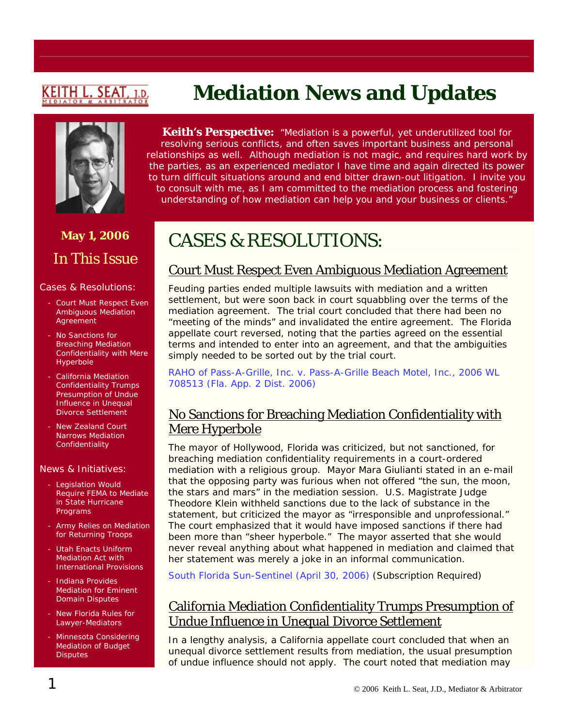# <u>KEITH L. SEAT</u>

# **May 1, 2006**  In This Issue

#### Cases & Resolutions:

- Court Must Respect Even Ambiguous Mediation Agreement
- No Sanctions for Breaching Mediation Confidentiality with Mere Hyperbole
- California Mediation Confidentiality Trumps Presumption of Undue Influence in Unequal Divorce Settlement
- New Zealand Court Narrows Mediation **Confidentiality**

#### News & Initiatives:

- Legislation Would Require FEMA to Mediate in State Hurricane Programs
- Army Relies on Mediation for Returning Troops
- Utah Enacts Uniform Mediation Act with International Provisions
- Indiana Provides Mediation for Eminent Domain Disputes
- New Florida Rules for Lawyer-Mediators
- Minnesota Considering Mediation of Budget **Disputes**

# **Mediation News and Updates**

**Keith's Perspective:** *"Mediation is a powerful, yet underutilized tool for resolving serious conflicts, and often saves important business and personal relationships as well. Although mediation is not magic, and requires hard work by the parties, as an experienced mediator I have time and again directed its power to turn difficult situations around and end bitter drawn-out litigation. I invite you to consult with me, as I am committed to the mediation process and fostering understanding of how mediation can help you and your business or clients."*

# CASES & RESOLUTIONS:

### Court Must Respect Even Ambiguous Mediation Agreement

Feuding parties ended multiple lawsuits with mediation and a written settlement, but were soon back in court squabbling over the terms of the mediation agreement. The trial court concluded that there had been no "meeting of the minds" and invalidated the entire agreement. The Florida appellate court reversed, noting that the parties agreed on the essential terms and intended to enter into an agreement, and that the ambiguities simply needed to be sorted out by the trial court.

*RAHO of Pass-A-Grille, Inc. v. [Pass-A-Grille Beach Motel, Inc](http://caselaw.lp.findlaw.com/data2/floridastatecases/app/app2_3_2006/2d05-2029.pdf)*., 2006 WL [708513 \(Fla. App. 2 Dist. 2006\)](http://caselaw.lp.findlaw.com/data2/floridastatecases/app/app2_3_2006/2d05-2029.pdf)

#### No Sanctions for Breaching Mediation Confidentiality with Mere Hyperbole

The mayor of Hollywood, Florida was criticized, but not sanctioned, for breaching mediation confidentiality requirements in a court-ordered mediation with a religious group. Mayor Mara Giulianti stated in an e-mail that the opposing party was furious when not offered "the sun, the moon, the stars and mars" in the mediation session. U.S. Magistrate Judge Theodore Klein withheld sanctions due to the lack of substance in the statement, but criticized the mayor as "irresponsible and unprofessional." The court emphasized that it would have imposed sanctions if there had been more than "sheer hyperbole." The mayor asserted that she would never reveal anything about what happened in mediation and claimed that her statement was merely a joke in an informal communication.

[South Florida Sun-Sentinel \(April 30, 2006\)](http://pqasb.pqarchiver.com/sun_sentinel/access/1029248101.html?dids=1029248101:1029248101&FMT=ABS&FMTS=ABS:FT&date=Apr+30%2C+2006&author=Shannon+O%27Boye+Staff+Writer&pub=South+Florida+Sun+-+Sentinel&edition=&startpage=1&desc=JUDGE+CHIDES+GIULIAN) (Subscription Required)

#### California Mediation Confidentiality Trumps Presumption of Undue Influence in Unequal Divorce Settlement

In a lengthy analysis, a California appellate court concluded that when an unequal divorce settlement results from mediation, the usual presumption of undue influence should not apply. The court noted that mediation may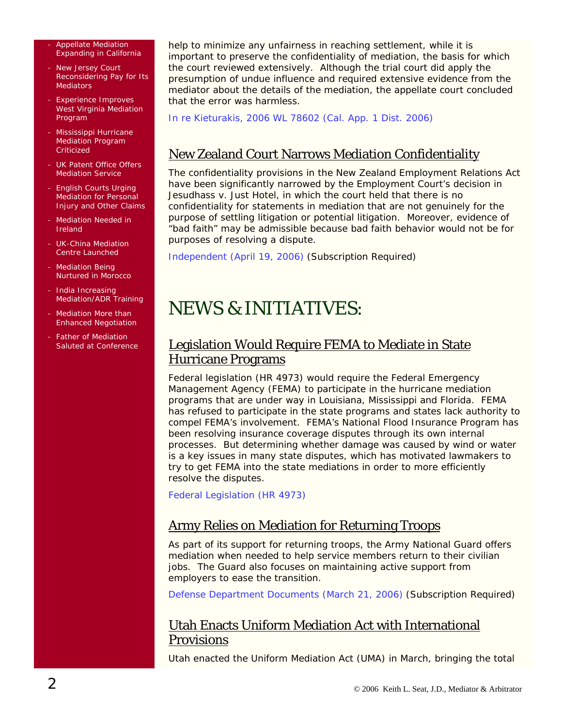#### - Appellate Mediation Expanding in California

- New Jersey Court Reconsidering Pay for Its **Mediators**
- Experience Improves West Virginia Mediation Program
- Mississippi Hurricane Mediation Program **Criticized**
- UK Patent Office Offers Mediation Service
- English Courts Urging Mediation for Personal Injury and Other Claims
- Mediation Needed in Ireland
- UK-China Mediation Centre Launched
- Mediation Being Nurtured in Morocco
- India Increasing Mediation/ADR Training
- Mediation More than Enhanced Negotiation
- Father of Mediation Saluted at Conference

help to minimize any unfairness in reaching settlement, while it is important to preserve the confidentiality of mediation, the basis for which the court reviewed extensively. Although the trial court did apply the presumption of undue influence and required extensive evidence from the mediator about the details of the mediation, the appellate court concluded that the error was harmless.

*In re Kieturakis,* [2006 WL 78602 \(Cal. App. 1 Dist. 2006\)](http://caselaw.lp.findlaw.com/data2/californiastatecases/a101719.pdf)

### New Zealand Court Narrows Mediation Confidentiality

The confidentiality provisions in the New Zealand Employment Relations Act have been significantly narrowed by the Employment Court's decision in Jesudhass v. Just Hotel, in which the court held that there is no confidentiality for statements in mediation that are not genuinely for the purpose of settling litigation or potential litigation. Moreover, evidence of "bad faith" may be admissible because bad faith behavior would not be for purposes of resolving a dispute.

[Independent \(April 19, 2006\)](http://web2.westlaw.com/welcome/LawSchoolPractitioner/default.wl?ATP=Show&FN=%5Ftop&MT=LawSchoolPractitioner&RS=WLW6%2E04&SV=Split&VR=2%2E0) (Subscription Required)

# NEWS & INITIATIVES:

### Legislation Would Require FEMA to Mediate in State Hurricane Programs

Federal legislation (HR 4973) would require the Federal Emergency Management Agency (FEMA) to participate in the hurricane mediation programs that are under way in Louisiana, Mississippi and Florida. FEMA has refused to participate in the state programs and states lack authority to compel FEMA's involvement. FEMA's National Flood Insurance Program has been resolving insurance coverage disputes through its own internal processes. But determining whether damage was caused by wind or water is a key issues in many state disputes, which has motivated lawmakers to try to get FEMA into the state mediations in order to more efficiently resolve the disputes.

[Federal Legislation \(HR 4973\)](http://www.govtrack.us/data/us/bills.text/109/h4973.pdf)

#### Army Relies on Mediation for Returning Troops

As part of its support for returning troops, the Army National Guard offers mediation when needed to help service members return to their civilian jobs. The Guard also focuses on maintaining active support from employers to ease the transition.

[Defense Department Documents \(March 21, 2006\)](http://web2.westlaw.com/Find/default.wl?findcite=2006+WLNR+4683082&TF=%7B27AE66B7-4EEF-11D5-A99D-000102463493%7D&RS=WLW6.04&VR=2.0&SV=Split&FN=_top&MT=LawSchoolPractitioner&RP=%2FWelcome%2FLawSchoolPractitioner%2Fdefault.wl&TC=%7B7340A334-4EEC-11D) (Subscription Required)

#### Utah Enacts Uniform Mediation Act with International **Provisions**

Utah enacted the Uniform Mediation Act (UMA) in March, bringing the total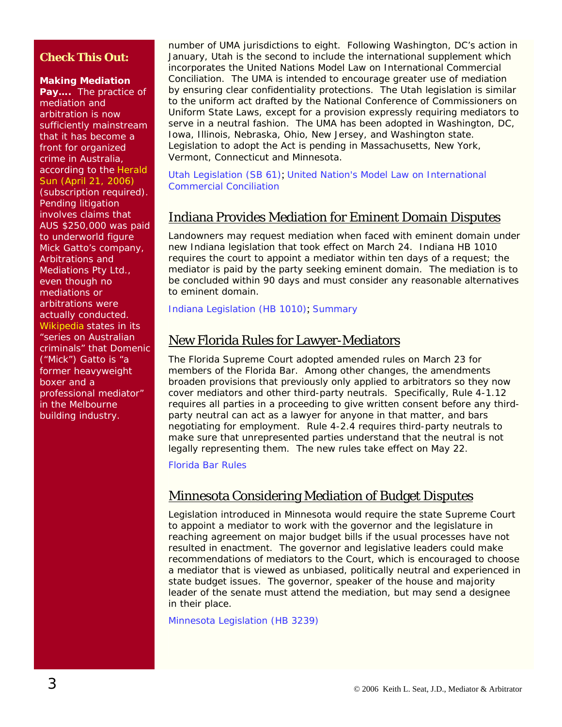#### **Check This Out:**

#### **Making Mediation**

**Pay….** The practice of mediation and arbitration is now sufficiently mainstream that it has become a front for organized crime in Australia, according to the [Herald](http://web2.westlaw.com/Find/default.wl?findcite=2006+WLNR+6613128&TF=%7B27AE66B7-4EEF-11D5-A99D-000102463493%7D&RS=WLW6.04&VR=2.0&SV=Split&FN=_top&MT=LawSchoolPractitioner&RP=%2FWelcome%2FLawSchoolPractitioner%2Fdefault.wl&TC=%7B7340A334-4EEC-11D)  [Sun \(April 21, 2006\)](http://web2.westlaw.com/Find/default.wl?findcite=2006+WLNR+6613128&TF=%7B27AE66B7-4EEF-11D5-A99D-000102463493%7D&RS=WLW6.04&VR=2.0&SV=Split&FN=_top&MT=LawSchoolPractitioner&RP=%2FWelcome%2FLawSchoolPractitioner%2Fdefault.wl&TC=%7B7340A334-4EEC-11D)  (subscription required). Pending litigation involves claims that AUS \$250,000 was paid to underworld figure Mick Gatto's company, Arbitrations and Mediations Pty Ltd., even though no mediations or arbitrations were actually conducted. [Wikipedia](http://en.wikipedia.org/wiki/Mick_Gatto) states in its "series on Australian criminals" that Domenic ("Mick") Gatto is "a former heavyweight boxer and a professional mediator" in the Melbourne building industry.

number of UMA jurisdictions to eight. Following Washington, DC's action in January, Utah is the second to include the international supplement which incorporates the United Nations Model Law on International Commercial Conciliation. The UMA is intended to encourage greater use of mediation by ensuring clear confidentiality protections. The Utah legislation is similar to the uniform act drafted by the National Conference of Commissioners on Uniform State Laws, except for a provision expressly requiring mediators to serve in a neutral fashion. The UMA has been adopted in Washington, DC, Iowa, Illinois, Nebraska, Ohio, New Jersey, and Washington state. Legislation to adopt the Act is pending in Massachusetts, New York, Vermont, Connecticut and Minnesota.

[Utah Legislation \(SB 61\)](http://www.le.state.ut.us/~2006/bills/sbillamd/sb0061.htm); [United Nation's Model Law on International](http://www.sccinstitute.com/_upload/shared_files/lagar/ml-conc-e.pdf)  [Commercial Conciliation](http://www.sccinstitute.com/_upload/shared_files/lagar/ml-conc-e.pdf)

#### Indiana Provides Mediation for Eminent Domain Disputes

Landowners may request mediation when faced with eminent domain under new Indiana legislation that took effect on March 24. Indiana HB 1010 requires the court to appoint a mediator within ten days of a request; the mediator is paid by the party seeking eminent domain. The mediation is to be concluded within 90 days and must consider any reasonable alternatives to eminent domain.

[Indiana Legislation \(HB 1010\)](http://www.in.gov/legislative/bills/2006/HE/HE1010.1.html); Summary

#### New Florida Rules for Lawyer-Mediators

The Florida Supreme Court adopted amended rules on March 23 for members of the Florida Bar. Among other changes, the amendments broaden provisions that previously only applied to arbitrators so they now cover mediators and other third-party neutrals. Specifically, Rule 4-1.12 requires all parties in a proceeding to give written consent before any thirdparty neutral can act as a lawyer for anyone in that matter, and bars negotiating for employment. Rule 4-2.4 requires third-party neutrals to make sure that unrepresented parties understand that the neutral is not legally representing them. The new rules take effect on May 22.

[Florida Bar Rules](http://www.floridasupremecourt.org/decisions/2006/sc04-2246.pdf)

#### Minnesota Considering Mediation of Budget Disputes

Legislation introduced in Minnesota would require the state Supreme Court to appoint a mediator to work with the governor and the legislature in reaching agreement on major budget bills if the usual processes have not resulted in enactment. The governor and legislative leaders could make recommendations of mediators to the Court, which is encouraged to choose a mediator that is viewed as unbiased, politically neutral and experienced in state budget issues. The governor, speaker of the house and majority leader of the senate must attend the mediation, but may send a designee in their place.

[Minnesota Legislation \(HB 3239\)](http://www.revisor.leg.state.mn.us/bin/bldbill.php?bill=H3239.0.html&session=ls84)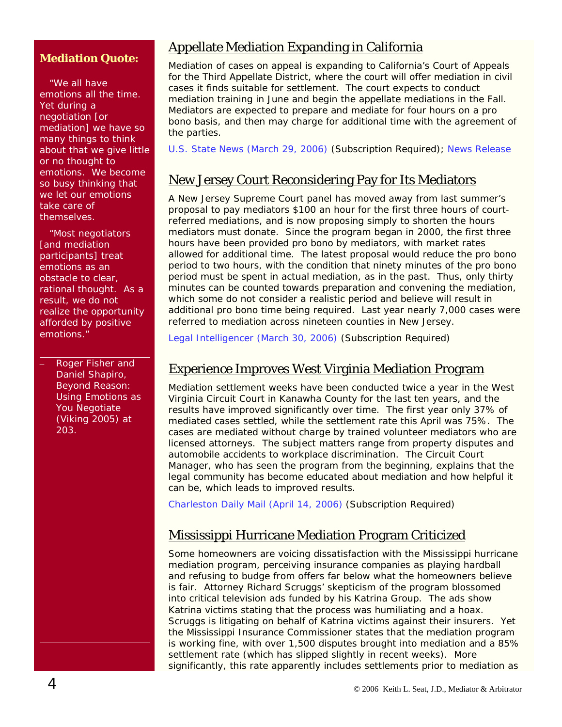#### **Mediation Quote:**

 "We all have emotions all the time. Yet during a negotiation [or mediation] we have so many things to think about that we give little or no thought to emotions. We become so busy thinking that we let our emotions take care of themselves.

 "Most negotiators [and mediation participants] treat emotions as an obstacle to clear, rational thought. As a result, we do not realize the opportunity afforded by positive emotions."

– Roger Fisher and Daniel Shapiro, *Beyond Reason: Using Emotions as You Negotiate*  (Viking 2005) at 203.

#### Appellate Mediation Expanding in California

Mediation of cases on appeal is expanding to California's Court of Appeals for the Third Appellate District, where the court will offer mediation in civil cases it finds suitable for settlement. The court expects to conduct mediation training in June and begin the appellate mediations in the Fall. Mediators are expected to prepare and mediate for four hours on a pro bono basis, and then may charge for additional time with the agreement of the parties.

[U.S. State News \(March 29, 2006\)](http://web2.westlaw.com/find/default.wl?rs=WLW6.04&findjuris=00001&cite=2006+WLNR+5293420&fn=_top&mt=California&vr=2.0&sv=Split&rp=%2ffind%2fdefault.wlfsearch%2fdefault.wl&db=ALLNEWS&vr=2.0&rs=WLW6.04) (Subscription Required); [News Release](http://www.courtinfo.ca.gov/presscenter/newsreleases/NR-28-06.PDF)

### New Jersey Court Reconsidering Pay for Its Mediators

A New Jersey Supreme Court panel has moved away from last summer's proposal to pay mediators \$100 an hour for the first three hours of courtreferred mediations, and is now proposing simply to shorten the hours mediators must donate. Since the program began in 2000, the first three hours have been provided pro bono by mediators, with market rates allowed for additional time. The latest proposal would reduce the pro bono period to two hours, with the condition that ninety minutes of the pro bono period must be spent in actual mediation, as in the past. Thus, only thirty minutes can be counted towards preparation and convening the mediation, which some do not consider a realistic period and believe will result in additional pro bono time being required. Last year nearly 7,000 cases were referred to mediation across nineteen counties in New Jersey.

[Legal Intelligencer \(March 30, 2006\)](http://web2.westlaw.com/search/default.wl?mt=California&fn=_top&sv=Split&rp=%2fsearch%2fdefault.wl&db=ALLNEWS&vr=2.0&rs=WLW6.04) (Subscription Required)

#### Experience Improves West Virginia Mediation Program

Mediation settlement weeks have been conducted twice a year in the West Virginia Circuit Court in Kanawha County for the last ten years, and the results have improved significantly over time. The first year only 37% of mediated cases settled, while the settlement rate this April was 75%. The cases are mediated without charge by trained volunteer mediators who are licensed attorneys. The subject matters range from property disputes and automobile accidents to workplace discrimination. The Circuit Court Manager, who has seen the program from the beginning, explains that the legal community has become educated about mediation and how helpful it can be, which leads to improved results.

[Charleston Daily Mail \(April 14, 2006\)](http://web2.westlaw.com/search/default.wl?rs=WLW6.04&tofrom=%2fsearch%2fqueryeditor.aspx&eq=search&fn=_top&db=ALLNEWS&query=ATLEAST5(MEDIATION)+%26+DA(AFT+04%2f09%2f2006+%26+BEF+04%2f17%2f2006)&sskey=CLID_SSSA20270194&dups=False&action=EditQuery&r) (Subscription Required)

#### Mississippi Hurricane Mediation Program Criticized

Some homeowners are voicing dissatisfaction with the Mississippi hurricane mediation program, perceiving insurance companies as playing hardball and refusing to budge from offers far below what the homeowners believe is fair. Attorney Richard Scruggs' skepticism of the program blossomed into critical television ads funded by his Katrina Group. The ads show Katrina victims stating that the process was humiliating and a hoax. Scruggs is litigating on behalf of Katrina victims against their insurers. Yet the Mississippi Insurance Commissioner states that the mediation program is working fine, with over 1,500 disputes brought into mediation and a 85% settlement rate (which has slipped slightly in recent weeks). More significantly, this rate apparently includes settlements prior to mediation as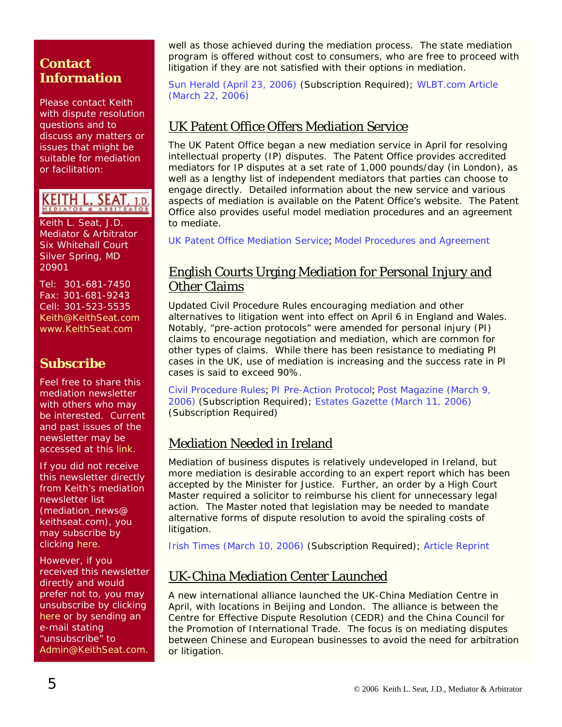### **Contact Information**

Please contact Keith with dispute resolution questions and to discuss any matters or issues that might be suitable for mediation or facilitation:

# KEITH L. SEAT

Keith L. Seat, J.D. Mediator & Arbitrator Six Whitehall Court Silver Spring, MD 20901

Tel: 301-681-7450 Fax: 301-681-9243 Cell: 301-523-5535 [Keith@KeithSeat.com](mailto:Keith@KeithSeat.com) [www.KeithSeat.com](http://www.keithseat.com/)

# **Subscribe**

Feel free to share this mediation newsletter with others who may be interested. Current and past issues of the newsletter may be accessed at this [link.](http://www.keithseat.com/publications.htm)

If you did not receive this newsletter directly from Keith's mediation newsletter list (mediation\_news@ keithseat.com), you may subscribe by clicking [here](mailto:mediation_news-subscribe@keithseat.com).

However, if you received this newsletter directly and would prefer not to, you may unsubscribe by clicking [here](mailto:mediation_news-unsubscribe@keithseat.com) or by sending an e-mail stating 'unsubscribe" to [Admin@KeithSeat.com](mailto:Admin@KeithSeat.com).

well as those achieved during the mediation process. The state mediation program is offered without cost to consumers, who are free to proceed with litigation if they are not satisfied with their options in mediation.

[Sun Herald \(April 23, 2006\)](http://web2.westlaw.com/welcome/LawSchoolPractitioner/default.wl?ATP=Show&FN=%5Ftop&MT=LawSchoolPractitioner&RS=WLW6%2E04&SV=Split&VR=2%2E0) (Subscription Required); [WLBT.com Article](http://www.wlbt.com/Global/story.asp?S=4669191&nav=2CSf)  [\(March 22, 2006\)](http://www.wlbt.com/Global/story.asp?S=4669191&nav=2CSf)

## UK Patent Office Offers Mediation Service

The UK Patent Office began a new mediation service in April for resolving intellectual property (IP) disputes. The Patent Office provides accredited mediators for IP disputes at a set rate of 1,000 pounds/day (in London), as well as a lengthy list of independent mediators that parties can choose to engage directly. Detailed information about the new service and various aspects of mediation is available on the Patent Office's website. The Patent Office also provides useful model mediation procedures and an agreement to mediate.

[UK Patent Office Mediation Service](http://www.patent.gov.uk/about/ippd/mediation/); [Model Procedures and Agreement](http://www.patent.gov.uk/about/ippd/mediation/mediationmodel.pdf)

### English Courts Urging Mediation for Personal Injury and Other Claims

Updated Civil Procedure Rules encouraging mediation and other alternatives to litigation went into effect on April 6 in England and Wales. Notably, "pre-action protocols" were amended for personal injury (PI) claims to encourage negotiation and mediation, which are common for other types of claims. While there has been resistance to mediating PI cases in the UK, use of mediation is increasing and the success rate in PI cases is said to exceed 90%.

[Civil Procedure Rules](http://www.dca.gov.uk/civil/procrules_fin/update.htm); [PI Pre-Action Protocol](http://www.dca.gov.uk/civil/procrules_fin/contents/protocols/prot_pic.htm); [Post Magazine \(March 9,](http://web2.westlaw.com/welcome/LawSchoolPractitioner/default.wl?ATP=Show&FN=%5Ftop&MT=LawSchoolPractitioner&RS=WLW6%2E03&SV=Split&VR=2%2E0)  [2006\)](http://web2.westlaw.com/welcome/LawSchoolPractitioner/default.wl?ATP=Show&FN=%5Ftop&MT=LawSchoolPractitioner&RS=WLW6%2E03&SV=Split&VR=2%2E0) (Subscription Required); [Estates Gazette \(March 11, 2006\)](http://web2.westlaw.com/welcome/LawSchoolPractitioner/default.wl?ATP=Show&FN=%5Ftop&MT=LawSchoolPractitioner&RS=WLW6%2E03&SV=Split&VR=2%2E0) (Subscription Required)

### Mediation Needed in Ireland

Mediation of business disputes is relatively undeveloped in Ireland, but more mediation is desirable according to an expert report which has been accepted by the Minister for Justice. Further, an order by a High Court Master required a solicitor to reimburse his client for unnecessary legal action. The Master noted that legislation may be needed to mandate alternative forms of dispute resolution to avoid the spiraling costs of litigation.

[Irish Times \(March 10, 2006\)](http://web2.westlaw.com/welcome/LawSchoolPractitioner/default.wl?ATP=Show&FN=%5Ftop&MT=LawSchoolPractitioner&RS=WLW6%2E03&SV=Split&VR=2%2E0) (Subscription Required); [Article Reprint](http://www.erwin-mediation.ie/resources_irishtimes10mar06.htm)

### UK-China Mediation Center Launched

A new international alliance launched the UK-China Mediation Centre in April, with locations in Beijing and London. The alliance is between the Centre for Effective Dispute Resolution (CEDR) and the China Council for the Promotion of International Trade. The focus is on mediating disputes between Chinese and European businesses to avoid the need for arbitration or litigation.